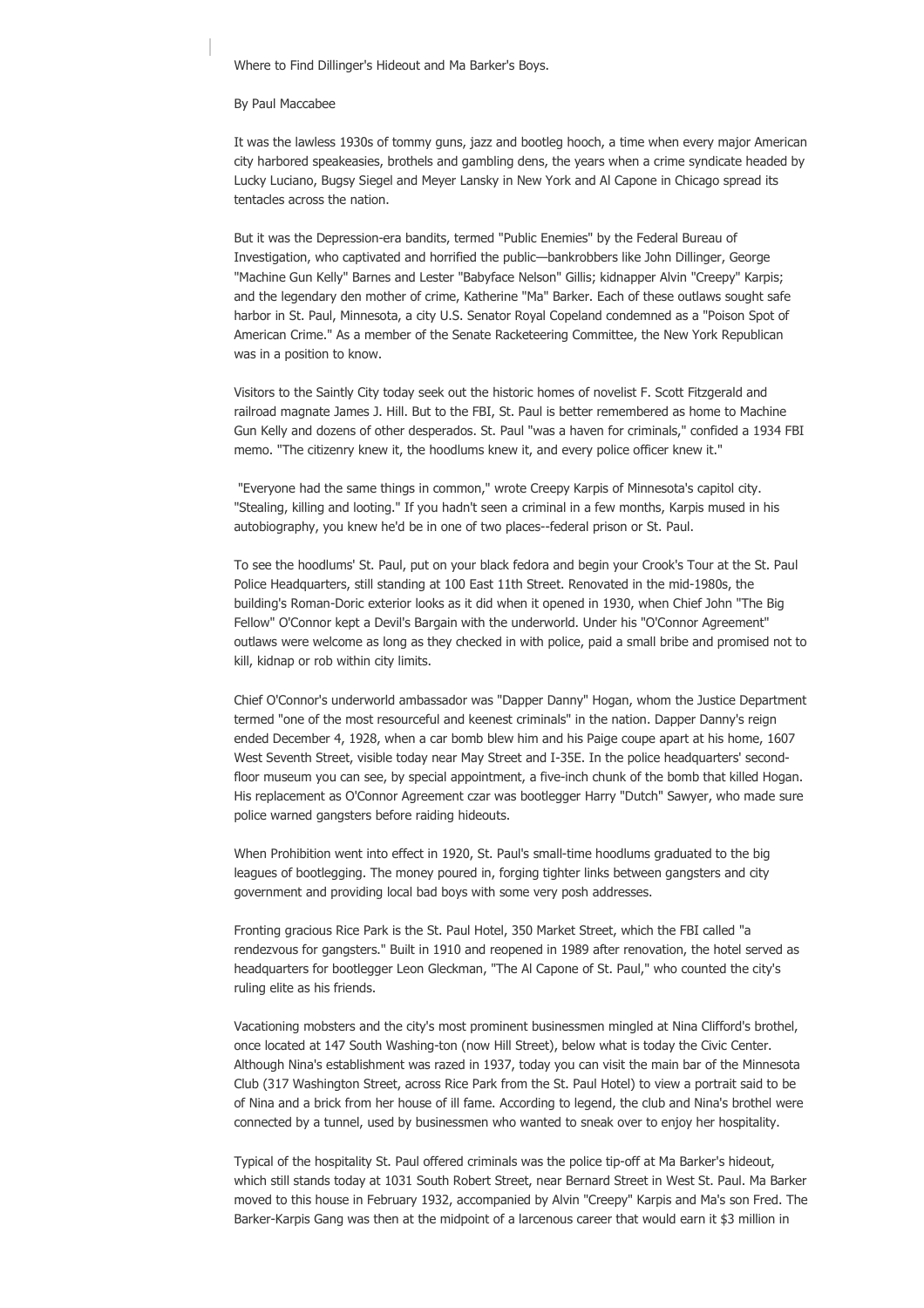Where to Find Dillinger's Hideout and Ma Barker's Boys.

## By Paul Maccabee

It was the lawless 1930s of tommy guns, jazz and bootleg hooch, a time when every major American city harbored speakeasies, brothels and gambling dens, the years when a crime syndicate headed by Lucky Luciano, Bugsy Siegel and Meyer Lansky in New York and Al Capone in Chicago spread its tentacles across the nation.

But it was the Depression-era bandits, termed "Public Enemies" by the Federal Bureau of Investigation, who captivated and horrified the public—bankrobbers like John Dillinger, George "Machine Gun Kelly" Barnes and Lester "Babyface Nelson" Gillis; kidnapper Alvin "Creepy" Karpis; and the legendary den mother of crime, Katherine "Ma" Barker. Each of these outlaws sought safe harbor in St. Paul, Minnesota, a city U.S. Senator Royal Copeland condemned as a "Poison Spot of American Crime." As a member of the Senate Racketeering Committee, the New York Republican was in a position to know.

Visitors to the Saintly City today seek out the historic homes of novelist F. Scott Fitzgerald and railroad magnate James J. Hill. But to the FBI, St. Paul is better remembered as home to Machine Gun Kelly and dozens of other desperados. St. Paul "was a haven for criminals," confided a 1934 FBI memo. "The citizenry knew it, the hoodlums knew it, and every police officer knew it."

 "Everyone had the same things in common," wrote Creepy Karpis of Minnesota's capitol city. "Stealing, killing and looting." If you hadn't seen a criminal in a few months, Karpis mused in his autobiography, you knew he'd be in one of two places--federal prison or St. Paul.

To see the hoodlums' St. Paul, put on your black fedora and begin your Crook's Tour at the St. Paul Police Headquarters, still standing at 100 East 11th Street. Renovated in the mid-1980s, the building's Roman-Doric exterior looks as it did when it opened in 1930, when Chief John "The Big Fellow" O'Connor kept a Devil's Bargain with the underworld. Under his "O'Connor Agreement" outlaws were welcome as long as they checked in with police, paid a small bribe and promised not to kill, kidnap or rob within city limits.

Chief O'Connor's underworld ambassador was "Dapper Danny" Hogan, whom the Justice Department termed "one of the most resourceful and keenest criminals" in the nation. Dapper Danny's reign ended December 4, 1928, when a car bomb blew him and his Paige coupe apart at his home, 1607 West Seventh Street, visible today near May Street and I-35E. In the police headquarters' secondfloor museum you can see, by special appointment, a five-inch chunk of the bomb that killed Hogan. His replacement as O'Connor Agreement czar was bootlegger Harry "Dutch" Sawyer, who made sure police warned gangsters before raiding hideouts.

When Prohibition went into effect in 1920, St. Paul's small-time hoodlums graduated to the big leagues of bootlegging. The money poured in, forging tighter links between gangsters and city government and providing local bad boys with some very posh addresses.

Fronting gracious Rice Park is the St. Paul Hotel, 350 Market Street, which the FBI called "a rendezvous for gangsters." Built in 1910 and reopened in 1989 after renovation, the hotel served as headquarters for bootlegger Leon Gleckman, "The Al Capone of St. Paul," who counted the city's ruling elite as his friends.

Vacationing mobsters and the city's most prominent businessmen mingled at Nina Clifford's brothel, once located at 147 South Washing-ton (now Hill Street), below what is today the Civic Center. Although Nina's establishment was razed in 1937, today you can visit the main bar of the Minnesota Club (317 Washington Street, across Rice Park from the St. Paul Hotel) to view a portrait said to be of Nina and a brick from her house of ill fame. According to legend, the club and Nina's brothel were connected by a tunnel, used by businessmen who wanted to sneak over to enjoy her hospitality.

Typical of the hospitality St. Paul offered criminals was the police tip-off at Ma Barker's hideout, which still stands today at 1031 South Robert Street, near Bernard Street in West St. Paul. Ma Barker moved to this house in February 1932, accompanied by Alvin "Creepy" Karpis and Ma's son Fred. The Barker-Karpis Gang was then at the midpoint of a larcenous career that would earn it \$3 million in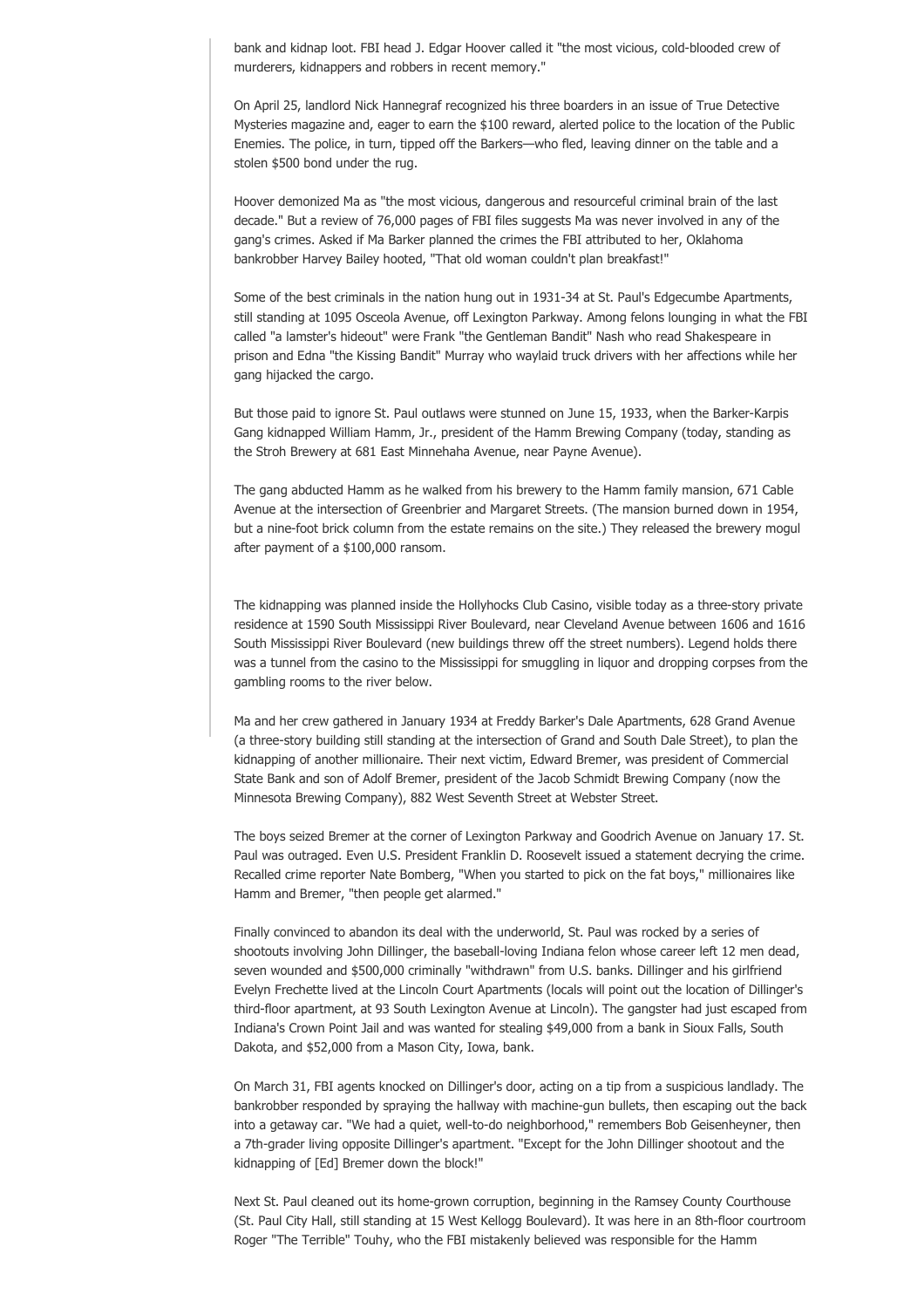bank and kidnap loot. FBI head J. Edgar Hoover called it "the most vicious, cold-blooded crew of murderers, kidnappers and robbers in recent memory."

On April 25, landlord Nick Hannegraf recognized his three boarders in an issue of True Detective Mysteries magazine and, eager to earn the \$100 reward, alerted police to the location of the Public Enemies. The police, in turn, tipped off the Barkers—who fled, leaving dinner on the table and a stolen \$500 bond under the rug.

Hoover demonized Ma as "the most vicious, dangerous and resourceful criminal brain of the last decade." But a review of 76,000 pages of FBI files suggests Ma was never involved in any of the gang's crimes. Asked if Ma Barker planned the crimes the FBI attributed to her, Oklahoma bankrobber Harvey Bailey hooted, "That old woman couldn't plan breakfast!"

Some of the best criminals in the nation hung out in 1931-34 at St. Paul's Edgecumbe Apartments, still standing at 1095 Osceola Avenue, off Lexington Parkway. Among felons lounging in what the FBI called "a lamster's hideout" were Frank "the Gentleman Bandit" Nash who read Shakespeare in prison and Edna "the Kissing Bandit" Murray who waylaid truck drivers with her affections while her gang hijacked the cargo.

But those paid to ignore St. Paul outlaws were stunned on June 15, 1933, when the Barker-Karpis Gang kidnapped William Hamm, Jr., president of the Hamm Brewing Company (today, standing as the Stroh Brewery at 681 East Minnehaha Avenue, near Payne Avenue).

The gang abducted Hamm as he walked from his brewery to the Hamm family mansion, 671 Cable Avenue at the intersection of Greenbrier and Margaret Streets. (The mansion burned down in 1954, but a nine-foot brick column from the estate remains on the site.) They released the brewery mogul after payment of a \$100,000 ransom.

The kidnapping was planned inside the Hollyhocks Club Casino, visible today as a three-story private residence at 1590 South Mississippi River Boulevard, near Cleveland Avenue between 1606 and 1616 South Mississippi River Boulevard (new buildings threw off the street numbers). Legend holds there was a tunnel from the casino to the Mississippi for smuggling in liquor and dropping corpses from the gambling rooms to the river below.

Ma and her crew gathered in January 1934 at Freddy Barker's Dale Apartments, 628 Grand Avenue (a three-story building still standing at the intersection of Grand and South Dale Street), to plan the kidnapping of another millionaire. Their next victim, Edward Bremer, was president of Commercial State Bank and son of Adolf Bremer, president of the Jacob Schmidt Brewing Company (now the Minnesota Brewing Company), 882 West Seventh Street at Webster Street.

The boys seized Bremer at the corner of Lexington Parkway and Goodrich Avenue on January 17. St. Paul was outraged. Even U.S. President Franklin D. Roosevelt issued a statement decrying the crime. Recalled crime reporter Nate Bomberg, "When you started to pick on the fat boys," millionaires like Hamm and Bremer, "then people get alarmed."

Finally convinced to abandon its deal with the underworld, St. Paul was rocked by a series of shootouts involving John Dillinger, the baseball-loving Indiana felon whose career left 12 men dead, seven wounded and \$500,000 criminally "withdrawn" from U.S. banks. Dillinger and his girlfriend Evelyn Frechette lived at the Lincoln Court Apartments (locals will point out the location of Dillinger's third-floor apartment, at 93 South Lexington Avenue at Lincoln). The gangster had just escaped from Indiana's Crown Point Jail and was wanted for stealing \$49,000 from a bank in Sioux Falls, South Dakota, and \$52,000 from a Mason City, Iowa, bank.

On March 31, FBI agents knocked on Dillinger's door, acting on a tip from a suspicious landlady. The bankrobber responded by spraying the hallway with machine-gun bullets, then escaping out the back into a getaway car. "We had a quiet, well-to-do neighborhood," remembers Bob Geisenheyner, then a 7th-grader living opposite Dillinger's apartment. "Except for the John Dillinger shootout and the kidnapping of [Ed] Bremer down the block!"

Next St. Paul cleaned out its home-grown corruption, beginning in the Ramsey County Courthouse (St. Paul City Hall, still standing at 15 West Kellogg Boulevard). It was here in an 8th-floor courtroom Roger "The Terrible" Touhy, who the FBI mistakenly believed was responsible for the Hamm